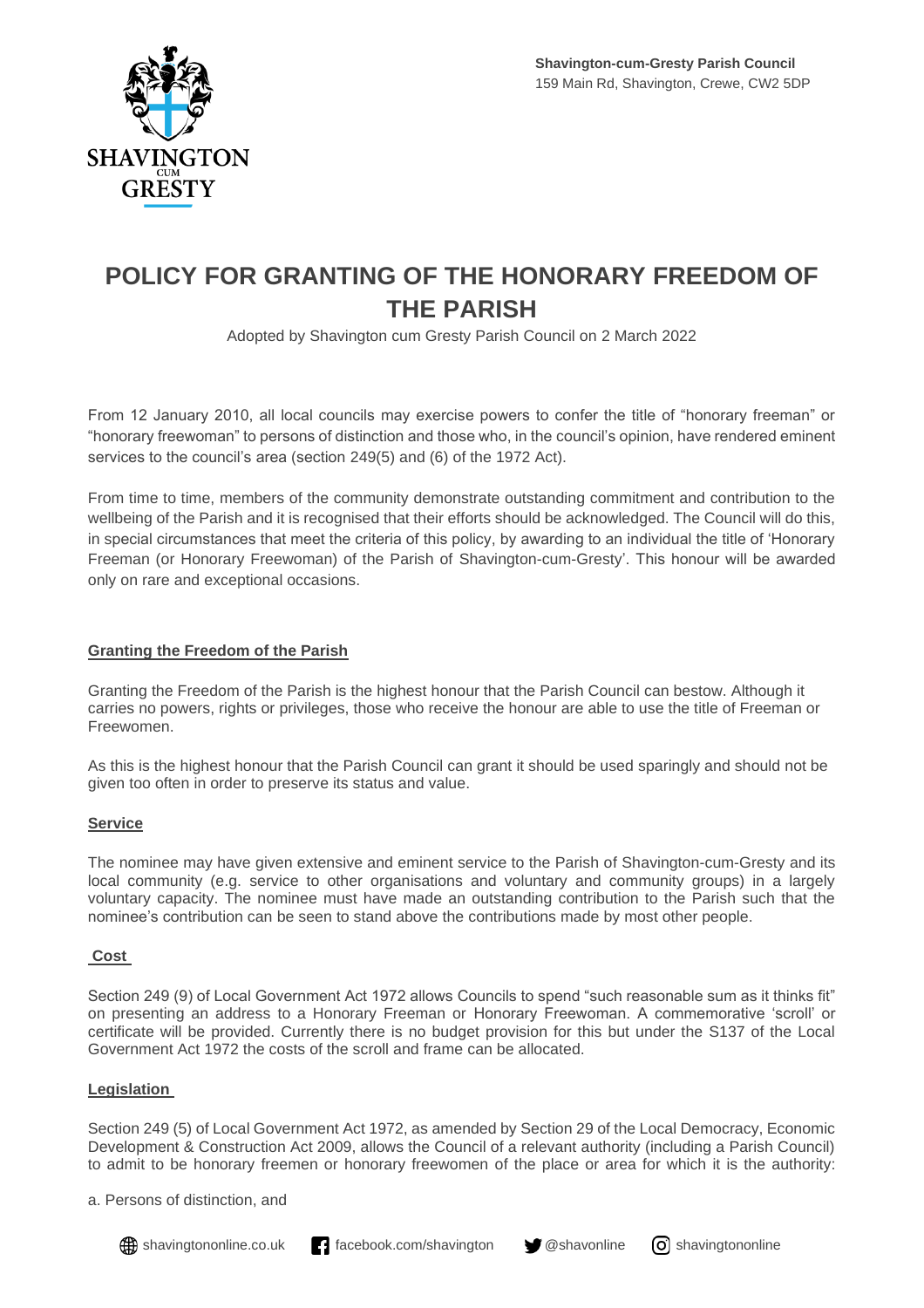

# **POLICY FOR GRANTING OF THE HONORARY FREEDOM OF THE PARISH**

Adopted by Shavington cum Gresty Parish Council on 2 March 2022

From 12 January 2010, all local councils may exercise powers to confer the title of "honorary freeman" or "honorary freewoman" to persons of distinction and those who, in the council's opinion, have rendered eminent services to the council's area (section 249(5) and (6) of the 1972 Act).

From time to time, members of the community demonstrate outstanding commitment and contribution to the wellbeing of the Parish and it is recognised that their efforts should be acknowledged. The Council will do this, in special circumstances that meet the criteria of this policy, by awarding to an individual the title of 'Honorary Freeman (or Honorary Freewoman) of the Parish of Shavington-cum-Gresty'. This honour will be awarded only on rare and exceptional occasions.

## **Granting the Freedom of the Parish**

Granting the Freedom of the Parish is the highest honour that the Parish Council can bestow. Although it carries no powers, rights or privileges, those who receive the honour are able to use the title of Freeman or Freewomen.

As this is the highest honour that the Parish Council can grant it should be used sparingly and should not be given too often in order to preserve its status and value.

## **Service**

The nominee may have given extensive and eminent service to the Parish of Shavington-cum-Gresty and its local community (e.g. service to other organisations and voluntary and community groups) in a largely voluntary capacity. The nominee must have made an outstanding contribution to the Parish such that the nominee's contribution can be seen to stand above the contributions made by most other people.

## **Cost**

Section 249 (9) of Local Government Act 1972 allows Councils to spend "such reasonable sum as it thinks fit" on presenting an address to a Honorary Freeman or Honorary Freewoman. A commemorative 'scroll' or certificate will be provided. Currently there is no budget provision for this but under the S137 of the Local Government Act 1972 the costs of the scroll and frame can be allocated.

## **Legislation**

Section 249 (5) of Local Government Act 1972, as amended by Section 29 of the Local Democracy, Economic Development & Construction Act 2009, allows the Council of a relevant authority (including a Parish Council) to admit to be honorary freemen or honorary freewomen of the place or area for which it is the authority:

a. Persons of distinction, and



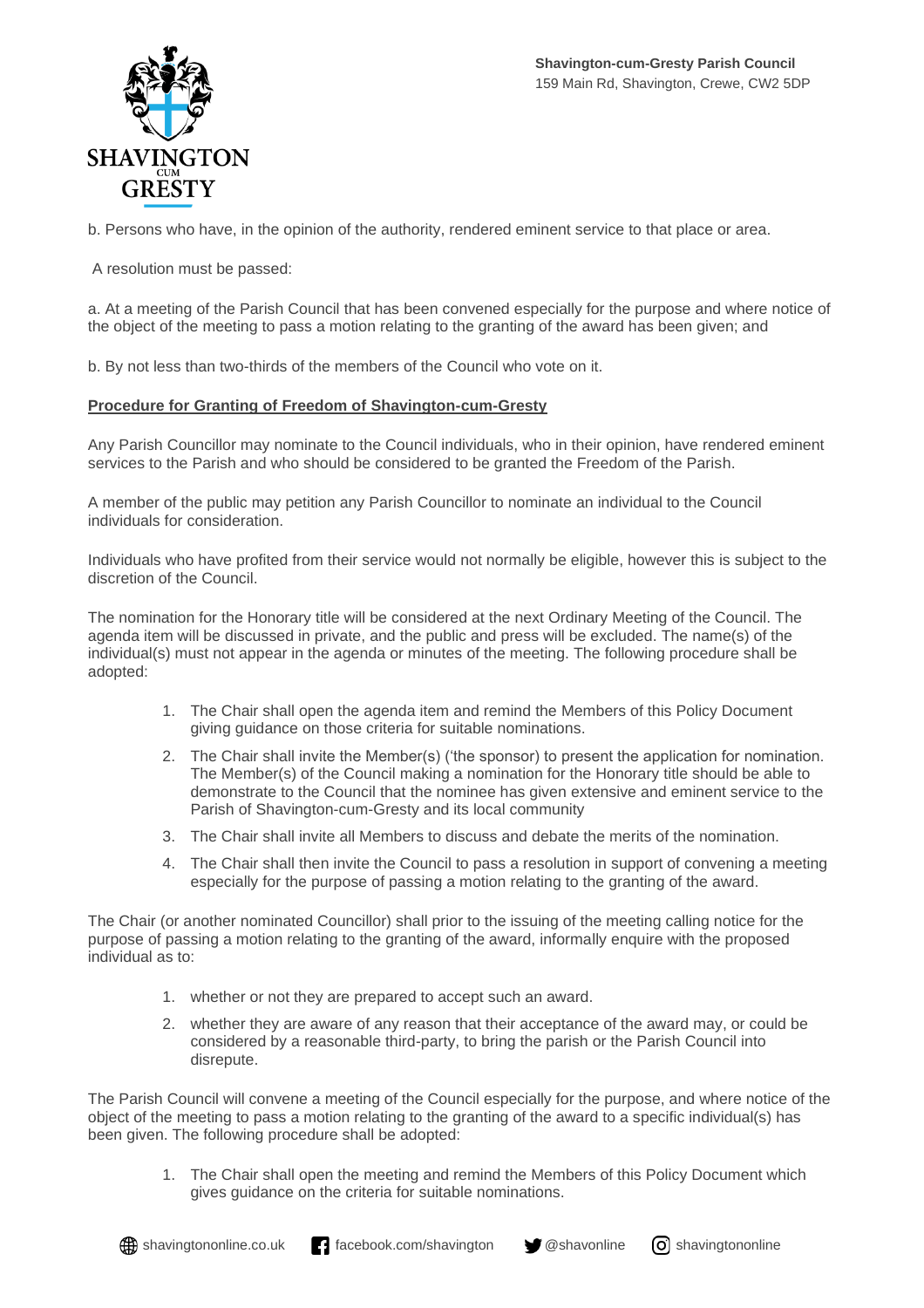

b. Persons who have, in the opinion of the authority, rendered eminent service to that place or area.

A resolution must be passed:

a. At a meeting of the Parish Council that has been convened especially for the purpose and where notice of the object of the meeting to pass a motion relating to the granting of the award has been given; and

b. By not less than two-thirds of the members of the Council who vote on it.

### **Procedure for Granting of Freedom of Shavington-cum-Gresty**

Any Parish Councillor may nominate to the Council individuals, who in their opinion, have rendered eminent services to the Parish and who should be considered to be granted the Freedom of the Parish.

A member of the public may petition any Parish Councillor to nominate an individual to the Council individuals for consideration.

Individuals who have profited from their service would not normally be eligible, however this is subject to the discretion of the Council.

The nomination for the Honorary title will be considered at the next Ordinary Meeting of the Council. The agenda item will be discussed in private, and the public and press will be excluded. The name(s) of the individual(s) must not appear in the agenda or minutes of the meeting. The following procedure shall be adopted:

- 1. The Chair shall open the agenda item and remind the Members of this Policy Document giving guidance on those criteria for suitable nominations.
- 2. The Chair shall invite the Member(s) ('the sponsor) to present the application for nomination. The Member(s) of the Council making a nomination for the Honorary title should be able to demonstrate to the Council that the nominee has given extensive and eminent service to the Parish of Shavington-cum-Gresty and its local community
- 3. The Chair shall invite all Members to discuss and debate the merits of the nomination.
- 4. The Chair shall then invite the Council to pass a resolution in support of convening a meeting especially for the purpose of passing a motion relating to the granting of the award.

The Chair (or another nominated Councillor) shall prior to the issuing of the meeting calling notice for the purpose of passing a motion relating to the granting of the award, informally enquire with the proposed individual as to:

- 1. whether or not they are prepared to accept such an award.
- 2. whether they are aware of any reason that their acceptance of the award may, or could be considered by a reasonable third-party, to bring the parish or the Parish Council into disrepute.

The Parish Council will convene a meeting of the Council especially for the purpose, and where notice of the object of the meeting to pass a motion relating to the granting of the award to a specific individual(s) has been given. The following procedure shall be adopted:

1. The Chair shall open the meeting and remind the Members of this Policy Document which gives guidance on the criteria for suitable nominations.